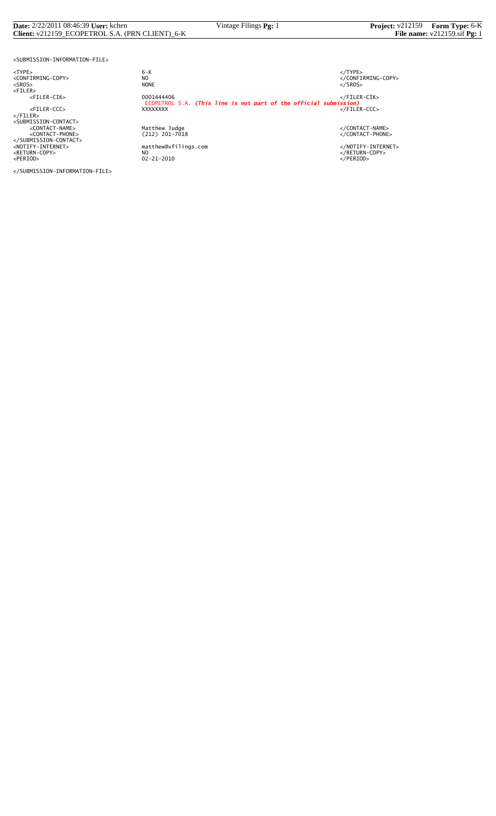#### **Date:** 2/22/2011 08:46:39 **User:** kchen Vintage Filings **Pg:** 1 **Project:** v212159 **Form Type:** 6-K **Client:** v212159\_ECOPETROL S.A. (PRN CLIENT)\_6-K **File name:** v212159.sif **Pg:** 1

<SUBMISSION-INFORMATION-FILE>

<TYPE> 6-K </TYPE>

</SUBMISSION-INFORMATION-FILE>

 $6 - K$ NO<br>
NO<br>
NONE<br>
NONE<br>
NONE<br>
S/SROS> <SROS> NONE </SROS> <FILER> <FILER-CIK> 0001444406 </FILER-CIK> ECOPETROL S.A. *(This line is not part of the official submission)* <FILER-CCC> XXXXXXXX </FILER-CCC> </FILER><br><SUBMISSION-CONTACT><br><</CONTACT-PHONE><br><</CONTACT-PHONE><br><</CONTACT-PHONE><br></SUBMISSION-CONTACT><br></SUBMISSION-CONTACT><br></RETURN-COPY>>>>>>>>>>>>>>>>+AOTIFY-INTERNET><br></RETURN-COPY>>+AOTIFY-INTERNET><br></RETURN-COPY>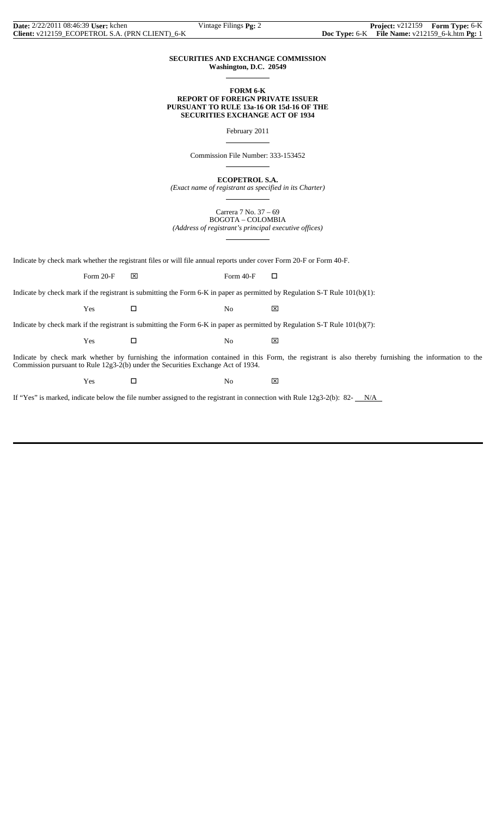#### **SECURITIES AND EXCHANGE COMMISSION Washington, D.C. 20549**

 $\overline{a}$ 

 $\overline{a}$ 

 $\overline{a}$ 

 $\overline{a}$ 

#### **FORM 6-K REPORT OF FOREIGN PRIVATE ISSUER PURSUANT TO RULE 13a-16 OR 15d-16 OF THE SECURITIES EXCHANGE ACT OF 1934**

February 2011

Commission File Number: 333-153452

**ECOPETROL S.A.**

*(Exact name of registrant as specified in its Charter)*  $\overline{a}$ 

> Carrera 7 No. 37 – 69 BOGOTA – COLOMBIA

*(Address of registrant's principal executive offices)*

Indicate by check mark whether the registrant files or will file annual reports under cover Form 20-F or Form 40-F.

Form 20-F  $\boxtimes$  Form 40-F  $\Box$ 

Indicate by check mark if the registrant is submitting the Form 6-K in paper as permitted by Regulation S-T Rule 101(b)(1):

 $Yes$   $\Box$  No  $\boxtimes$ 

Indicate by check mark if the registrant is submitting the Form 6-K in paper as permitted by Regulation S-T Rule 101(b)(7):

 $Yes$   $\Box$  No  $\boxtimes$ 

Indicate by check mark whether by furnishing the information contained in this Form, the registrant is also thereby furnishing the information to the Commission pursuant to Rule 12g3-2(b) under the Securities Exchange Act of 1934.

Yes □ No ⊠

If "Yes" is marked, indicate below the file number assigned to the registrant in connection with Rule  $12g3-2(b)$ : 82- $N/A$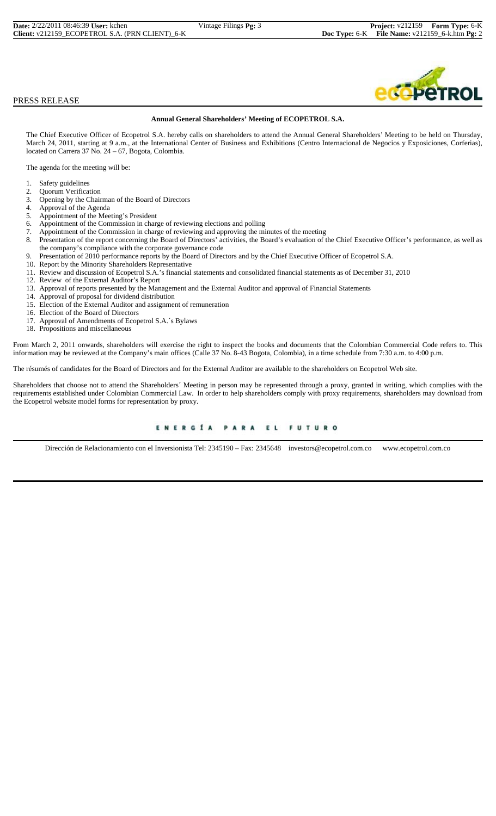| <b>Date:</b> 2/22/2011 08:46:39 User: kchen     | Vintage Filings $Pg: 3$ | <b>Project:</b> v212159 Form Type: 6-K         |  |
|-------------------------------------------------|-------------------------|------------------------------------------------|--|
| Client: v212159 ECOPETROL S.A. (PRN CLIENT) 6-K |                         | Doc Type: 6-K File Name: v212159_6-k.htm Pg: 2 |  |

#### PRESS RELEASE

#### **Annual General Shareholders' Meeting of ECOPETROL S.A.**

The Chief Executive Officer of Ecopetrol S.A. hereby calls on shareholders to attend the Annual General Shareholders' Meeting to be held on Thursday, March 24, 2011, starting at 9 a.m., at the International Center of Business and Exhibitions (Centro Internacional de Negocios y Exposiciones, Corferias), located on Carrera 37 No. 24 – 67, Bogota, Colombia.

The agenda for the meeting will be:

- 1. Safety guidelines
- 2. Quorum Verification<br>3. Opening by the Chair
- 3. Opening by the Chairman of the Board of Directors
- 4. Approval of the Agenda<br>5. Appointment of the Mee
- 5. Appointment of the Meeting's President
- 6. Appointment of the Commission in charge of reviewing elections and polling
- 7. Appointment of the Commission in charge of reviewing and approving the minutes of the meeting 8. Presentation of the report concerning the Board of Directors' activities, the Board's evaluation of the report concerning
- Presentation of the report concerning the Board of Directors' activities, the Board's evaluation of the Chief Executive Officer's performance, as well as the company's compliance with the corporate governance code
- 9. Presentation of 2010 performance reports by the Board of Directors and by the Chief Executive Officer of Ecopetrol S.A.
- 10. Report by the Minority Shareholders Representative
- 11. Review and discussion of Ecopetrol S.A.'s financial statements and consolidated financial statements as of December 31, 2010
- 12. Review of the External Auditor's Report
- 13. Approval of reports presented by the Management and the External Auditor and approval of Financial Statements
- 14. Approval of proposal for dividend distribution
- 15. Election of the External Auditor and assignment of remuneration
- 16. Election of the Board of Directors
- 17. Approval of Amendments of Ecopetrol S.A.´s Bylaws
- 18. Propositions and miscellaneous

From March 2, 2011 onwards, shareholders will exercise the right to inspect the books and documents that the Colombian Commercial Code refers to. This information may be reviewed at the Company's main offices (Calle 37 No. 8-43 Bogota, Colombia), in a time schedule from 7:30 a.m. to 4:00 p.m.

The résumés of candidates for the Board of Directors and for the External Auditor are available to the shareholders on Ecopetrol Web site.

Shareholders that choose not to attend the Shareholders´ Meeting in person may be represented through a proxy, granted in writing, which complies with the requirements established under Colombian Commercial Law. In order to help shareholders comply with proxy requirements, shareholders may download from the Ecopetrol website model forms for representation by proxy.

#### ENERGÍA PARA EL **FUTURO**

Dirección de Relacionamiento con el Inversionista Tel: 2345190 – Fax: 2345648 investors@ecopetrol.com.co www.ecopetrol.com.co

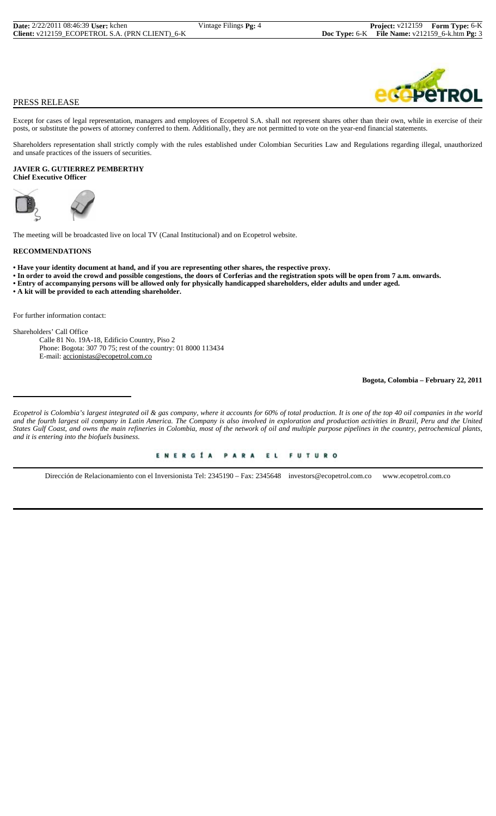## PRESS RELEASE

Except for cases of legal representation, managers and employees of Ecopetrol S.A. shall not represent shares other than their own, while in exercise of their posts, or substitute the powers of attorney conferred to them. Additionally, they are not permitted to vote on the year-end financial statements.

Shareholders representation shall strictly comply with the rules established under Colombian Securities Law and Regulations regarding illegal, unauthorized and unsafe practices of the issuers of securities.

#### **JAVIER G. GUTIERREZ PEMBERTHY Chief Executive Officer**





The meeting will be broadcasted live on local TV (Canal Institucional) and on Ecopetrol website.

#### **RECOMMENDATIONS**

- **Have your identity document at hand, and if you are representing other shares, the respective proxy.**
- **In order to avoid the crowd and possible congestions, the doors of Corferias and the registration spots will be open from 7 a.m. onwards.**
- **Entry of accompanying persons will be allowed only for physically handicapped shareholders, elder adults and under aged.**
- **A kit will be provided to each attending shareholder.**

For further information contact:

Shareholders' Call Office Calle 81 No. 19A-18, Edificio Country, Piso 2 Phone: Bogota: 307 70 75; rest of the country: 01 8000 113434

E-mail: accionistas@ecopetrol.com.co

**Bogota, Colombia – February 22, 2011**

*Ecopetrol is Colombia's largest integrated oil & gas company, where it accounts for 60% of total production. It is one of the top 40 oil companies in the world and the fourth largest oil company in Latin America. The Company is also involved in exploration and production activities in Brazil, Peru and the United States Gulf Coast, and owns the main refineries in Colombia, most of the network of oil and multiple purpose pipelines in the country, petrochemical plants, and it is entering into the biofuels business.*

> ENERGÍA PARA EL **FUTURO**

Dirección de Relacionamiento con el Inversionista Tel: 2345190 – Fax: 2345648 investors@ecopetrol.com.co www.ecopetrol.com.co

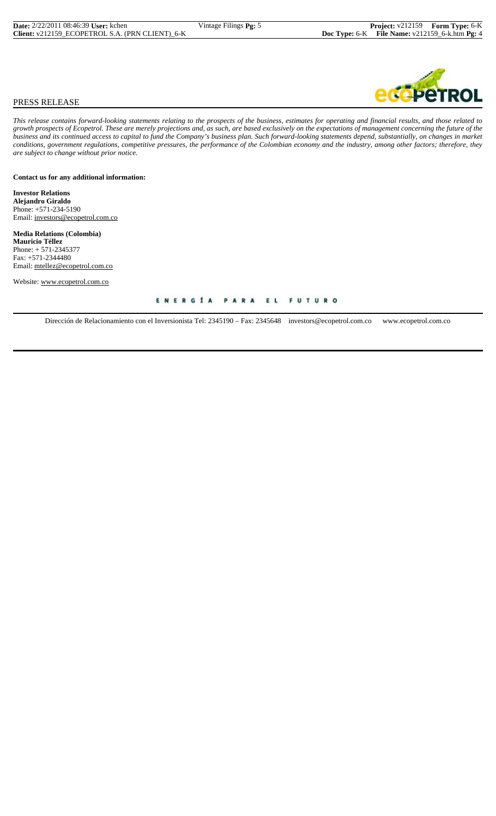# $\mathbf{V}$ ROL

## PRESS RELEASE

*This release contains forward-looking statements relating to the prospects of the business, estimates for operating and financial results, and those related to growth prospects of Ecopetrol. These are merely projections and, as such, are based exclusively on the expectations of management concerning the future of the business and its continued access to capital to fund the Company's business plan. Such forward-looking statements depend, substantially, on changes in market conditions, government regulations, competitive pressures, the performance of the Colombian economy and the industry, among other factors; therefore, they are subject to change without prior notice.*

**Contact us for any additional information:**

**Investor Relations Alejandro Giraldo** Phone: +571-234-5190 Email: investors@ecopetrol.com.co

**Media Relations (Colombia) Mauricio Téllez** Phone: + 571-2345377 Fax: +571-2344480 Email: mtellez@ecopetrol.com.co

Website: www.ecopetrol.com.co

#### ENERGÍA PARA EL **FUTURO**

Dirección de Relacionamiento con el Inversionista Tel: 2345190 – Fax: 2345648 investors@ecopetrol.com.co www.ecopetrol.com.co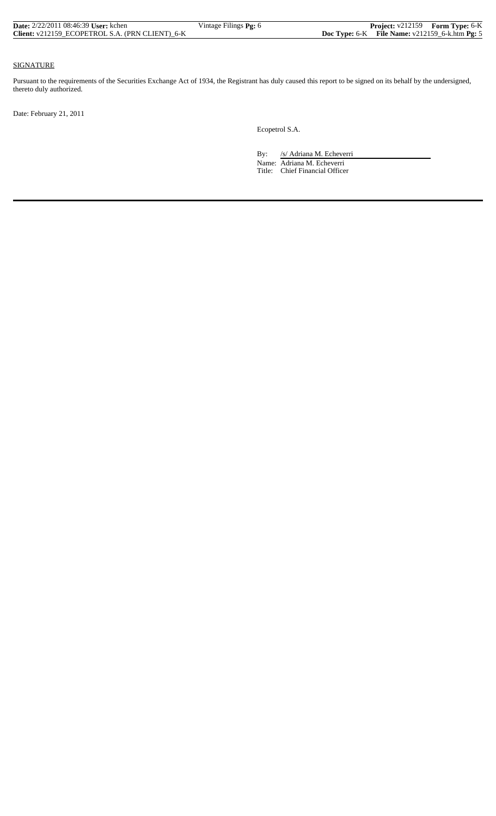| <b>Date:</b> 2/22/2011 08:46:39 User: kchen     | Vintage Filings Pg: 6 | <b>Project:</b> v212159 Form Type: 6-K              |
|-------------------------------------------------|-----------------------|-----------------------------------------------------|
| Client: v212159 ECOPETROL S.A. (PRN CLIENT) 6-K |                       | Doc Type: $6-K$ File Name: $v212159_6$ -k.htm Pg: 5 |

#### SIGNATURE

Pursuant to the requirements of the Securities Exchange Act of 1934, the Registrant has duly caused this report to be signed on its behalf by the undersigned, thereto duly authorized.

Date: February 21, 2011

Ecopetrol S.A.

By: /s/ Adriana M. Echeverri

 Name: Adriana M. Echeverri Title: Chief Financial Officer